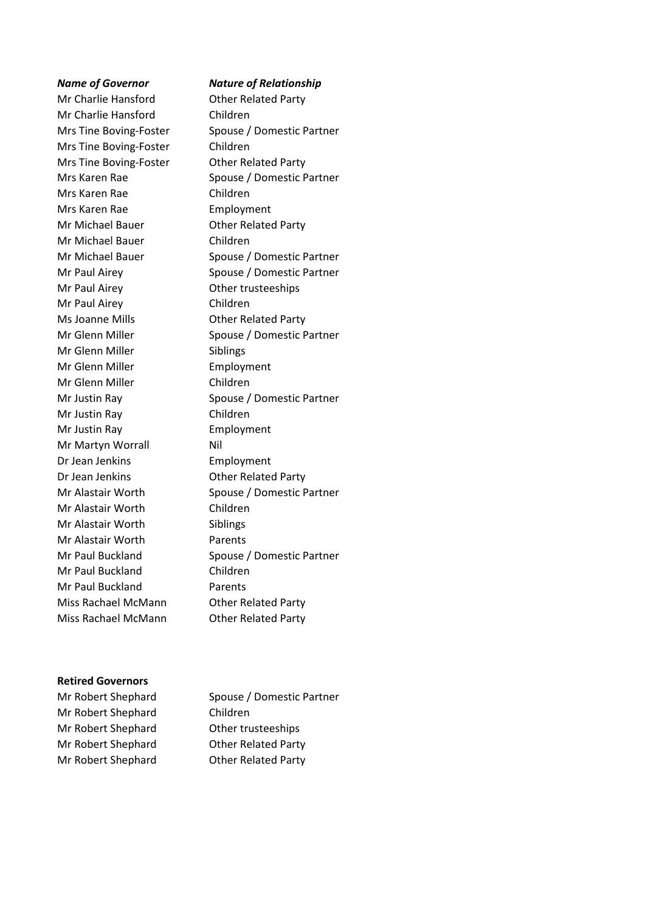# Mr Charlie Hansford **Other Related Party** Mr Charlie Hansford Children Mrs Tine Boving-Foster Children Mrs Tine Boving-Foster **Other Related Party** Mrs Karen Rae Children Mrs Karen Rae Employment Mr Michael Bauer **Other Related Party** Mr Michael Bauer Children Mr Paul Airey **Other trusteeships** Mr Paul Airey Children Ms Joanne Mills **Came Contract Contract Party** Mr Glenn Miller Siblings Mr Glenn Miller **Employment** Mr Glenn Miller Children Mr Justin Ray Children Mr Justin Ray **Employment** Mr Martyn Worrall Nil Dr Jean Jenkins Employment Dr Jean Jenkins Other Related Party Mr Alastair Worth Children Mr Alastair Worth Siblings Mr Alastair Worth Parents Mr Paul Buckland Children Mr Paul Buckland Parents Miss Rachael McMann Other Related Party Miss Rachael McMann Other Related Party

### *Name of Governor Nature of Relationship*

Mrs Tine Boving-Foster Spouse / Domestic Partner Mrs Karen Rae Spouse / Domestic Partner Mr Michael Bauer Spouse / Domestic Partner Mr Paul Airey Spouse / Domestic Partner Mr Glenn Miller Spouse / Domestic Partner Mr Justin Ray Spouse / Domestic Partner Mr Alastair Worth Spouse / Domestic Partner Mr Paul Buckland Spouse / Domestic Partner

#### **Retired Governors**

Mr Robert Shephard Children Mr Robert Shephard **Other trusteeships** Mr Robert Shephard **Other Related Party** Mr Robert Shephard **Other Related Party** 

Mr Robert Shephard Spouse / Domestic Partner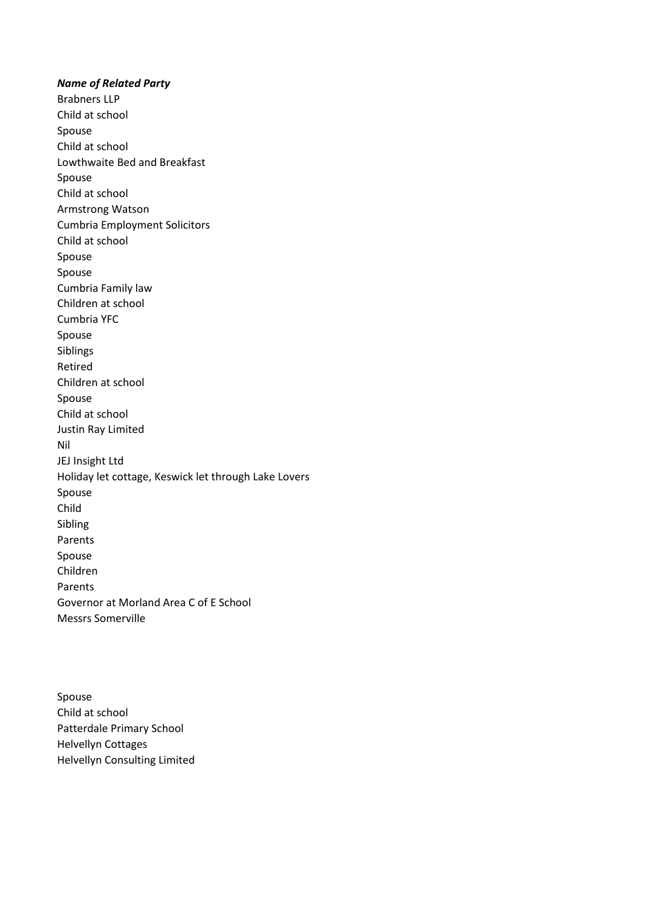*Name of Related Party* Brabners LLP Child at school Spouse Child at school Lowthwaite Bed and Breakfast Spouse Child at school Armstrong Watson Cumbria Employment Solicitors Child at school Spouse Spouse Cumbria Family law Children at school Cumbria YFC Spouse Siblings Retired Children at school Spouse Child at school Justin Ray Limited Nil JEJ Insight Ltd Holiday let cottage, Keswick let through Lake Lovers Spouse Child Sibling Parents Spouse Children Parents Governor at Morland Area C of E School Messrs Somerville

Spouse Child at school Patterdale Primary School Helvellyn Cottages Helvellyn Consulting Limited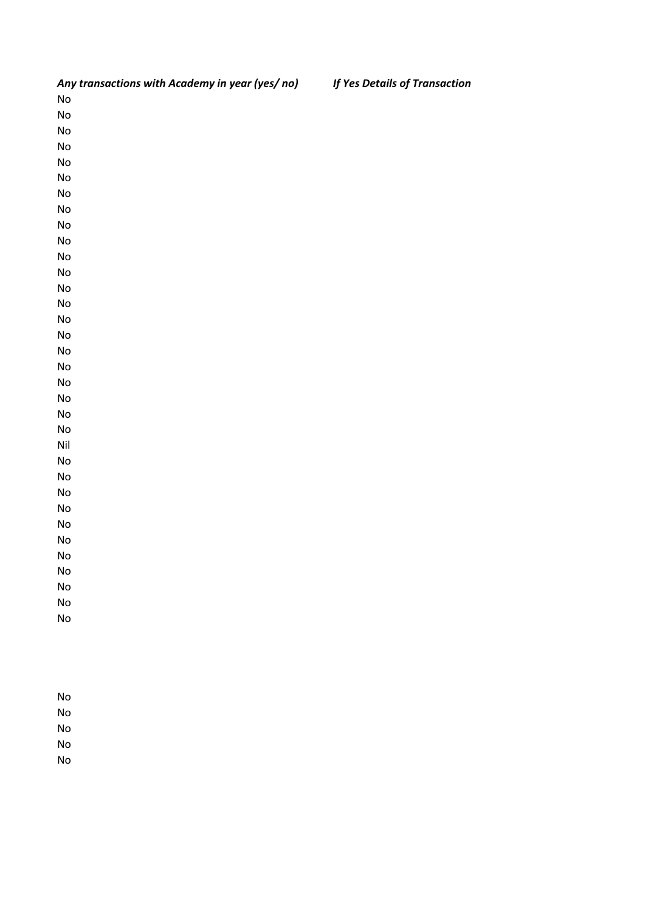| Any transactions with Academy in year (yes/no) | If Yes Details of Transaction |
|------------------------------------------------|-------------------------------|
| $\operatorname{\mathsf{No}}$                   |                               |
| $\operatorname{\mathsf{No}}$                   |                               |
| ${\sf No}$                                     |                               |
| $\operatorname{\mathsf{No}}$                   |                               |
| ${\sf No}$                                     |                               |
| ${\sf No}$                                     |                               |
| ${\sf No}$                                     |                               |
| ${\sf No}$                                     |                               |
| $\operatorname{\mathsf{No}}$                   |                               |
| ${\sf No}$                                     |                               |
| ${\sf No}$                                     |                               |
| ${\sf No}$                                     |                               |
| ${\sf No}$                                     |                               |
| $\operatorname{\mathsf{No}}$                   |                               |
| ${\sf No}$                                     |                               |
| ${\sf No}$                                     |                               |
| ${\sf No}$                                     |                               |
| ${\sf No}$                                     |                               |
| $\operatorname{\mathsf{No}}$                   |                               |
| ${\sf No}$                                     |                               |
| ${\sf No}$                                     |                               |
| ${\sf No}$                                     |                               |
| $\mathsf{Nil}$                                 |                               |
| ${\sf No}$                                     |                               |
| ${\sf No}$                                     |                               |
| ${\sf No}$                                     |                               |
| ${\sf No}$                                     |                               |
| ${\sf No}$                                     |                               |
| $\operatorname{\mathsf{No}}$                   |                               |
| $\operatorname{\mathsf{No}}$                   |                               |
| No                                             |                               |
| ${\sf No}$                                     |                               |
| $\operatorname{\mathsf{No}}$                   |                               |
| $\operatorname{\mathsf{No}}$                   |                               |
|                                                |                               |
|                                                |                               |

No No No

No

No